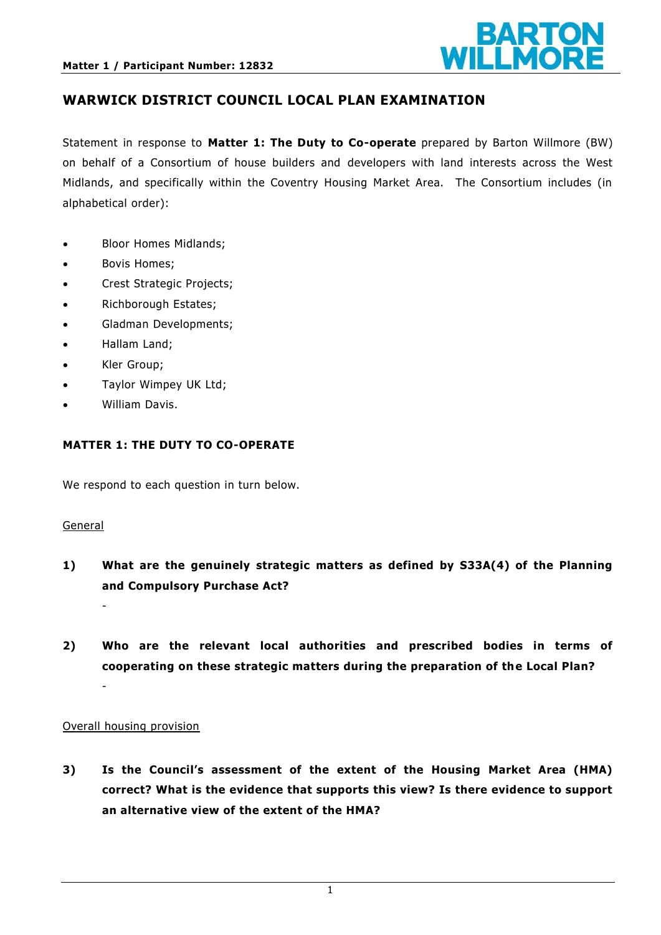

### **WARWICK DISTRICT COUNCIL LOCAL PLAN EXAMINATION**

Statement in response to **Matter 1: The Duty to Co-operate** prepared by Barton Willmore (BW) on behalf of a Consortium of house builders and developers with land interests across the West Midlands, and specifically within the Coventry Housing Market Area. The Consortium includes (in alphabetical order):

- Bloor Homes Midlands;
- Bovis Homes;
- Crest Strategic Projects;
- Richborough Estates;
- Gladman Developments;
- Hallam Land;
- Kler Group;
- Taylor Wimpey UK Ltd;
- William Davis.

### **MATTER 1: THE DUTY TO CO-OPERATE**

We respond to each question in turn below.

#### General

-

- **1) What are the genuinely strategic matters as defined by S33A(4) of the Planning and Compulsory Purchase Act?**
- **2) Who are the relevant local authorities and prescribed bodies in terms of cooperating on these strategic matters during the preparation of the Local Plan?**  -

#### Overall housing provision

**3) Is the Council's assessment of the extent of the Housing Market Area (HMA) correct? What is the evidence that supports this view? Is there evidence to support an alternative view of the extent of the HMA?**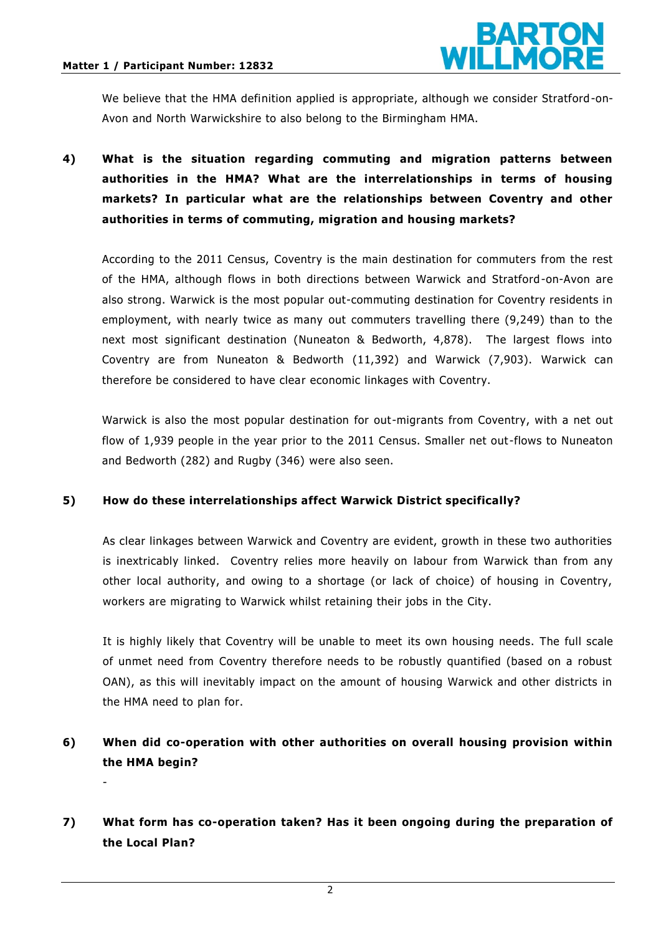-



We believe that the HMA definition applied is appropriate, although we consider Stratford -on-Avon and North Warwickshire to also belong to the Birmingham HMA.

# **4) What is the situation regarding commuting and migration patterns between authorities in the HMA? What are the interrelationships in terms of housing markets? In particular what are the relationships between Coventry and other authorities in terms of commuting, migration and housing markets?**

According to the 2011 Census, Coventry is the main destination for commuters from the rest of the HMA, although flows in both directions between Warwick and Stratford -on-Avon are also strong. Warwick is the most popular out-commuting destination for Coventry residents in employment, with nearly twice as many out commuters travelling there (9,249) than to the next most significant destination (Nuneaton & Bedworth, 4,878). The largest flows into Coventry are from Nuneaton & Bedworth (11,392) and Warwick (7,903). Warwick can therefore be considered to have clear economic linkages with Coventry.

Warwick is also the most popular destination for out-migrants from Coventry, with a net out flow of 1,939 people in the year prior to the 2011 Census. Smaller net out-flows to Nuneaton and Bedworth (282) and Rugby (346) were also seen.

#### **5) How do these interrelationships affect Warwick District specifically?**

As clear linkages between Warwick and Coventry are evident, growth in these two authorities is inextricably linked. Coventry relies more heavily on labour from Warwick than from any other local authority, and owing to a shortage (or lack of choice) of housing in Coventry, workers are migrating to Warwick whilst retaining their jobs in the City.

It is highly likely that Coventry will be unable to meet its own housing needs. The full scale of unmet need from Coventry therefore needs to be robustly quantified (based on a robust OAN), as this will inevitably impact on the amount of housing Warwick and other districts in the HMA need to plan for.

## **6) When did co-operation with other authorities on overall housing provision within the HMA begin?**

## **7) What form has co-operation taken? Has it been ongoing during the preparation of the Local Plan?**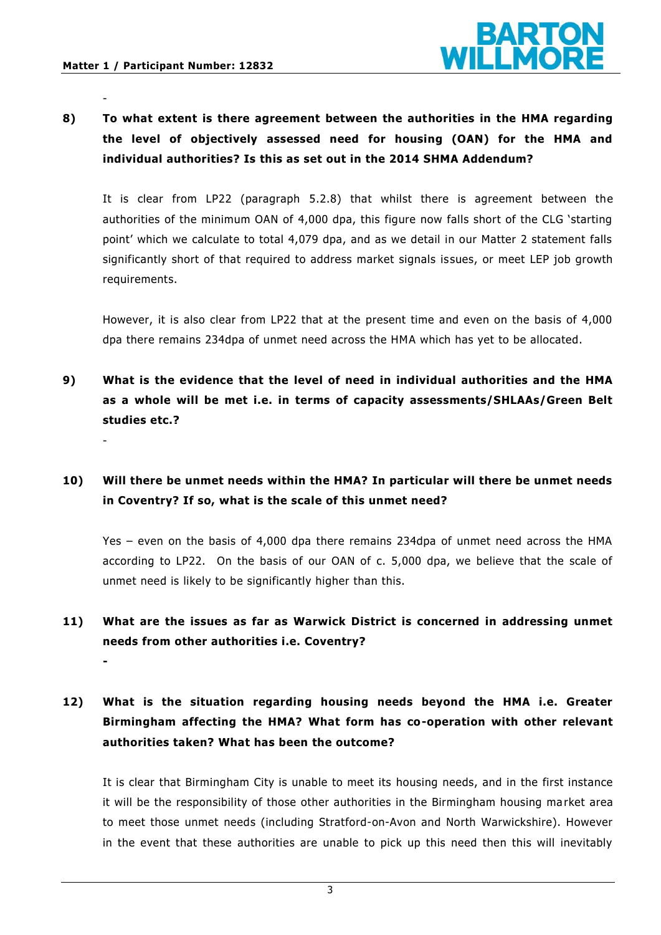-

-

**-**



**8) To what extent is there agreement between the authorities in the HMA regarding the level of objectively assessed need for housing (OAN) for the HMA and individual authorities? Is this as set out in the 2014 SHMA Addendum?** 

It is clear from LP22 (paragraph 5.2.8) that whilst there is agreement between the authorities of the minimum OAN of 4,000 dpa, this figure now falls short of the CLG 'starting point' which we calculate to total 4,079 dpa, and as we detail in our Matter 2 statement falls significantly short of that required to address market signals is sues, or meet LEP job growth requirements.

However, it is also clear from LP22 that at the present time and even on the basis of 4,000 dpa there remains 234dpa of unmet need across the HMA which has yet to be allocated.

**9) What is the evidence that the level of need in individual authorities and the HMA as a whole will be met i.e. in terms of capacity assessments/SHLAAs/Green Belt studies etc.?** 

## **10) Will there be unmet needs within the HMA? In particular will there be unmet needs in Coventry? If so, what is the scale of this unmet need?**

Yes – even on the basis of 4,000 dpa there remains 234dpa of unmet need across the HMA according to LP22. On the basis of our OAN of c. 5,000 dpa, we believe that the scale of unmet need is likely to be significantly higher than this.

# **11) What are the issues as far as Warwick District is concerned in addressing unmet needs from other authorities i.e. Coventry?**

**12) What is the situation regarding housing needs beyond the HMA i.e. Greater Birmingham affecting the HMA? What form has co-operation with other relevant authorities taken? What has been the outcome?** 

It is clear that Birmingham City is unable to meet its housing needs, and in the first instance it will be the responsibility of those other authorities in the Birmingham housing ma rket area to meet those unmet needs (including Stratford-on-Avon and North Warwickshire). However in the event that these authorities are unable to pick up this need then this will inevitably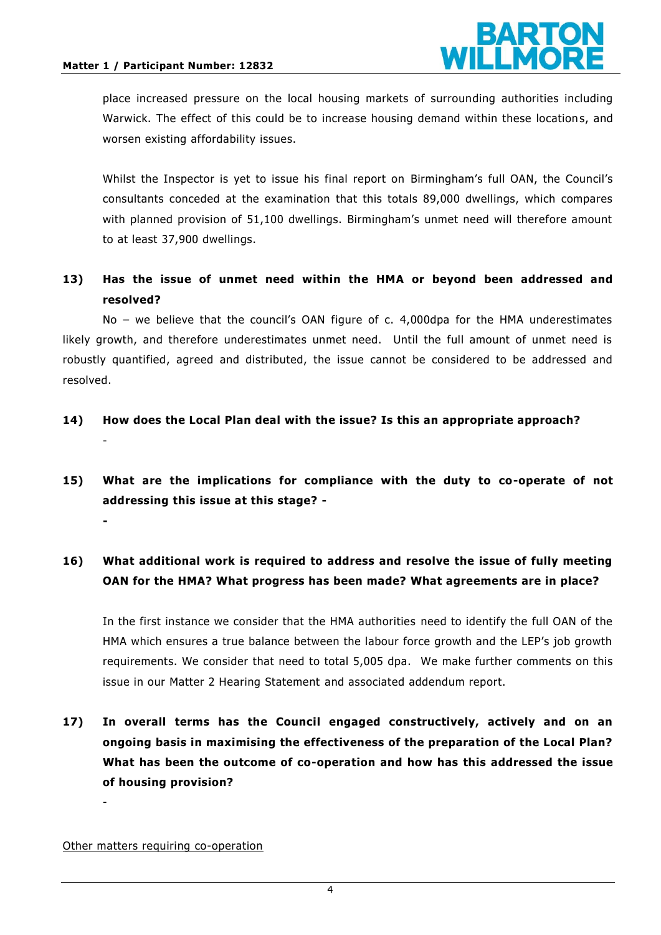-



place increased pressure on the local housing markets of surrounding authorities including Warwick. The effect of this could be to increase housing demand within these locations, and worsen existing affordability issues.

Whilst the Inspector is yet to issue his final report on Birmingham's full OAN, the Council's consultants conceded at the examination that this totals 89,000 dwellings, which compares with planned provision of 51,100 dwellings. Birmingham's unmet need will therefore amount to at least 37,900 dwellings.

**13) Has the issue of unmet need within the HMA or beyond been addressed and resolved?** 

No – we believe that the council's OAN figure of c. 4,000dpa for the HMA underestimates likely growth, and therefore underestimates unmet need. Until the full amount of unmet need is robustly quantified, agreed and distributed, the issue cannot be considered to be addressed and resolved.

- **14) How does the Local Plan deal with the issue? Is this an appropriate approach?**
- **15) What are the implications for compliance with the duty to co-operate of not addressing this issue at this stage? - -**

## **16) What additional work is required to address and resolve the issue of fully meeting OAN for the HMA? What progress has been made? What agreements are in place?**

In the first instance we consider that the HMA authorities need to identify the full OAN of the HMA which ensures a true balance between the labour force growth and the LEP's job growth requirements. We consider that need to total 5,005 dpa. We make further comments on this issue in our Matter 2 Hearing Statement and associated addendum report.

**17) In overall terms has the Council engaged constructively, actively and on an ongoing basis in maximising the effectiveness of the preparation of the Local Plan? What has been the outcome of co-operation and how has this addressed the issue of housing provision?** 

Other matters requiring co-operation

-